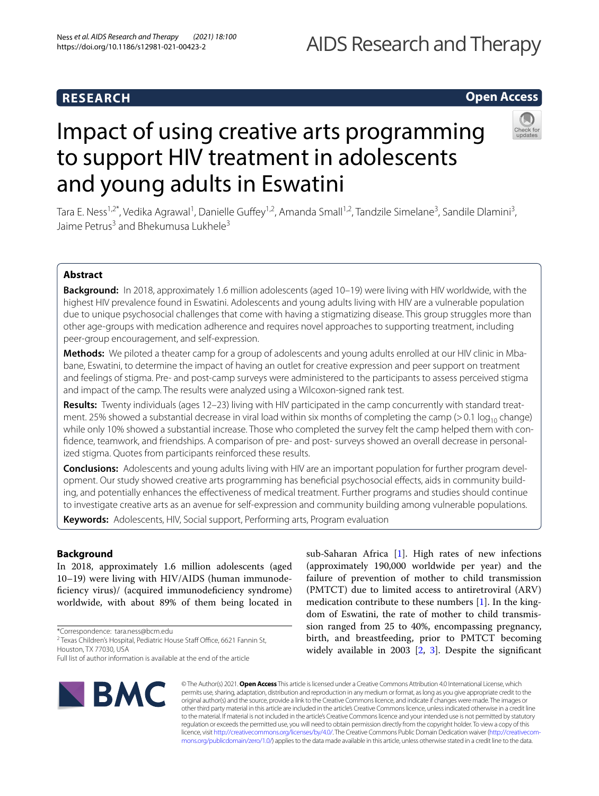# **RESEARCH**

# AIDS Research and Therapy

# **Open Access**



# Impact of using creative arts programming to support HIV treatment in adolescents and young adults in Eswatini

Tara E. Ness<sup>1,2\*</sup>, Vedika Agrawal<sup>1</sup>, Danielle Guffey<sup>1,2</sup>, Amanda Small<sup>1,2</sup>, Tandzile Simelane<sup>3</sup>, Sandile Dlamini<sup>3</sup>, Jaime Petrus<sup>3</sup> and Bhekumusa Lukhele<sup>3</sup>

# **Abstract**

**Background:** In 2018, approximately 1.6 million adolescents (aged 10–19) were living with HIV worldwide, with the highest HIV prevalence found in Eswatini. Adolescents and young adults living with HIV are a vulnerable population due to unique psychosocial challenges that come with having a stigmatizing disease. This group struggles more than other age-groups with medication adherence and requires novel approaches to supporting treatment, including peer-group encouragement, and self-expression.

**Methods:** We piloted a theater camp for a group of adolescents and young adults enrolled at our HIV clinic in Mbabane, Eswatini, to determine the impact of having an outlet for creative expression and peer support on treatment and feelings of stigma. Pre- and post-camp surveys were administered to the participants to assess perceived stigma and impact of the camp. The results were analyzed using a Wilcoxon-signed rank test.

**Results:** Twenty individuals (ages 12–23) living with HIV participated in the camp concurrently with standard treatment. 25% showed a substantial decrease in viral load within six months of completing the camp (>0.1 log<sub>10</sub> change) while only 10% showed a substantial increase. Those who completed the survey felt the camp helped them with confdence, teamwork, and friendships. A comparison of pre- and post- surveys showed an overall decrease in personalized stigma. Quotes from participants reinforced these results.

**Conclusions:** Adolescents and young adults living with HIV are an important population for further program development. Our study showed creative arts programming has benefcial psychosocial efects, aids in community building, and potentially enhances the efectiveness of medical treatment. Further programs and studies should continue to investigate creative arts as an avenue for self-expression and community building among vulnerable populations.

**Keywords:** Adolescents, HIV, Social support, Performing arts, Program evaluation

# **Background**

In 2018, approximately 1.6 million adolescents (aged 10–19) were living with HIV/AIDS (human immunodeficiency virus)/ (acquired immunodeficiency syndrome) worldwide, with about 89% of them being located in

\*Correspondence: tara.ness@bcm.edu

<sup>2</sup> Texas Children's Hospital, Pediatric House Staff Office, 6621 Fannin St, Houston, TX 77030, USA

Full list of author information is available at the end of the article



sub-Saharan Africa [\[1\]](#page-6-0). High rates of new infections (approximately 190,000 worldwide per year) and the failure of prevention of mother to child transmission (PMTCT) due to limited access to antiretroviral (ARV) medication contribute to these numbers [[1\]](#page-6-0). In the kingdom of Eswatini, the rate of mother to child transmission ranged from 25 to 40%, encompassing pregnancy, birth, and breastfeeding, prior to PMTCT becoming widely available in 2003 [[2,](#page-6-1) [3\]](#page-6-2). Despite the signifcant

© The Author(s) 2021. **Open Access** This article is licensed under a Creative Commons Attribution 4.0 International License, which permits use, sharing, adaptation, distribution and reproduction in any medium or format, as long as you give appropriate credit to the original author(s) and the source, provide a link to the Creative Commons licence, and indicate if changes were made. The images or other third party material in this article are included in the article's Creative Commons licence, unless indicated otherwise in a credit line to the material. If material is not included in the article's Creative Commons licence and your intended use is not permitted by statutory regulation or exceeds the permitted use, you will need to obtain permission directly from the copyright holder. To view a copy of this licence, visit [http://creativecommons.org/licenses/by/4.0/.](http://creativecommons.org/licenses/by/4.0/) The Creative Commons Public Domain Dedication waiver ([http://creativecom](http://creativecommons.org/publicdomain/zero/1.0/)[mons.org/publicdomain/zero/1.0/\)](http://creativecommons.org/publicdomain/zero/1.0/) applies to the data made available in this article, unless otherwise stated in a credit line to the data.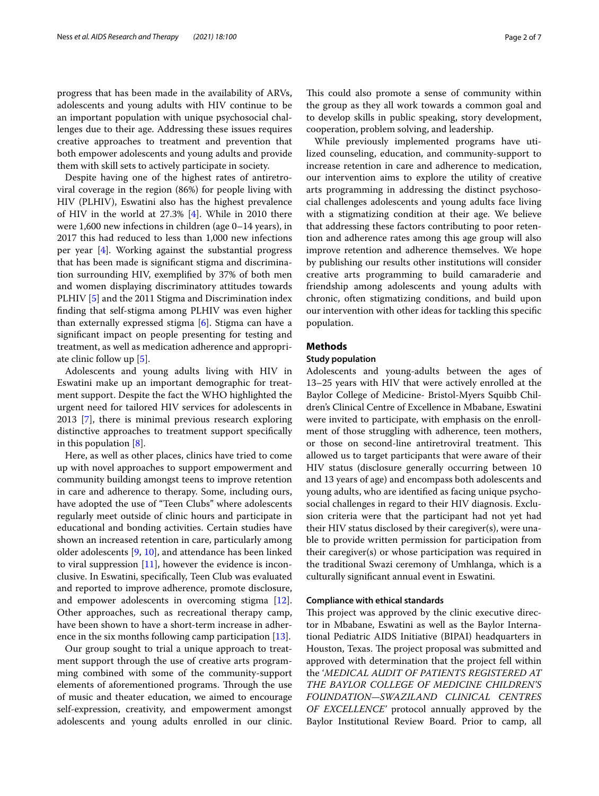progress that has been made in the availability of ARVs, adolescents and young adults with HIV continue to be an important population with unique psychosocial challenges due to their age. Addressing these issues requires creative approaches to treatment and prevention that both empower adolescents and young adults and provide them with skill sets to actively participate in society.

Despite having one of the highest rates of antiretroviral coverage in the region (86%) for people living with HIV (PLHIV), Eswatini also has the highest prevalence of HIV in the world at 27.3% [\[4](#page-6-3)]. While in 2010 there were 1,600 new infections in children (age 0–14 years), in 2017 this had reduced to less than 1,000 new infections per year [\[4\]](#page-6-3). Working against the substantial progress that has been made is signifcant stigma and discrimination surrounding HIV, exemplifed by 37% of both men and women displaying discriminatory attitudes towards PLHIV [\[5](#page-6-4)] and the 2011 Stigma and Discrimination index fnding that self-stigma among PLHIV was even higher than externally expressed stigma [\[6\]](#page-6-5). Stigma can have a signifcant impact on people presenting for testing and treatment, as well as medication adherence and appropriate clinic follow up [\[5\]](#page-6-4).

Adolescents and young adults living with HIV in Eswatini make up an important demographic for treatment support. Despite the fact the WHO highlighted the urgent need for tailored HIV services for adolescents in 2013 [[7\]](#page-6-6), there is minimal previous research exploring distinctive approaches to treatment support specifcally in this population [[8](#page-6-7)].

Here, as well as other places, clinics have tried to come up with novel approaches to support empowerment and community building amongst teens to improve retention in care and adherence to therapy. Some, including ours, have adopted the use of "Teen Clubs" where adolescents regularly meet outside of clinic hours and participate in educational and bonding activities. Certain studies have shown an increased retention in care, particularly among older adolescents [[9](#page-6-8), [10](#page-6-9)], and attendance has been linked to viral suppression  $[11]$  $[11]$ , however the evidence is inconclusive. In Eswatini, specifcally, Teen Club was evaluated and reported to improve adherence, promote disclosure, and empower adolescents in overcoming stigma [\[12](#page-6-11)]. Other approaches, such as recreational therapy camp, have been shown to have a short-term increase in adherence in the six months following camp participation [\[13\]](#page-6-12).

Our group sought to trial a unique approach to treatment support through the use of creative arts programming combined with some of the community-support elements of aforementioned programs. Through the use of music and theater education, we aimed to encourage self-expression, creativity, and empowerment amongst adolescents and young adults enrolled in our clinic. This could also promote a sense of community within the group as they all work towards a common goal and to develop skills in public speaking, story development, cooperation, problem solving, and leadership.

While previously implemented programs have utilized counseling, education, and community-support to increase retention in care and adherence to medication, our intervention aims to explore the utility of creative arts programming in addressing the distinct psychosocial challenges adolescents and young adults face living with a stigmatizing condition at their age. We believe that addressing these factors contributing to poor retention and adherence rates among this age group will also improve retention and adherence themselves. We hope by publishing our results other institutions will consider creative arts programming to build camaraderie and friendship among adolescents and young adults with chronic, often stigmatizing conditions, and build upon our intervention with other ideas for tackling this specifc population.

# **Methods**

#### **Study population**

Adolescents and young-adults between the ages of 13–25 years with HIV that were actively enrolled at the Baylor College of Medicine- Bristol-Myers Squibb Children's Clinical Centre of Excellence in Mbabane, Eswatini were invited to participate, with emphasis on the enrollment of those struggling with adherence, teen mothers, or those on second-line antiretroviral treatment. This allowed us to target participants that were aware of their HIV status (disclosure generally occurring between 10 and 13 years of age) and encompass both adolescents and young adults, who are identifed as facing unique psychosocial challenges in regard to their HIV diagnosis. Exclusion criteria were that the participant had not yet had their HIV status disclosed by their caregiver(s), were unable to provide written permission for participation from their caregiver(s) or whose participation was required in the traditional Swazi ceremony of Umhlanga, which is a culturally signifcant annual event in Eswatini.

## **Compliance with ethical standards**

This project was approved by the clinic executive director in Mbabane, Eswatini as well as the Baylor International Pediatric AIDS Initiative (BIPAI) headquarters in Houston, Texas. The project proposal was submitted and approved with determination that the project fell within the '*MEDICAL AUDIT OF PATIENTS REGISTERED AT THE BAYLOR COLLEGE OF MEDICINE CHILDREN'S FOUNDATION—SWAZILAND CLINICAL CENTRES OF EXCELLENCE'* protocol annually approved by the Baylor Institutional Review Board. Prior to camp, all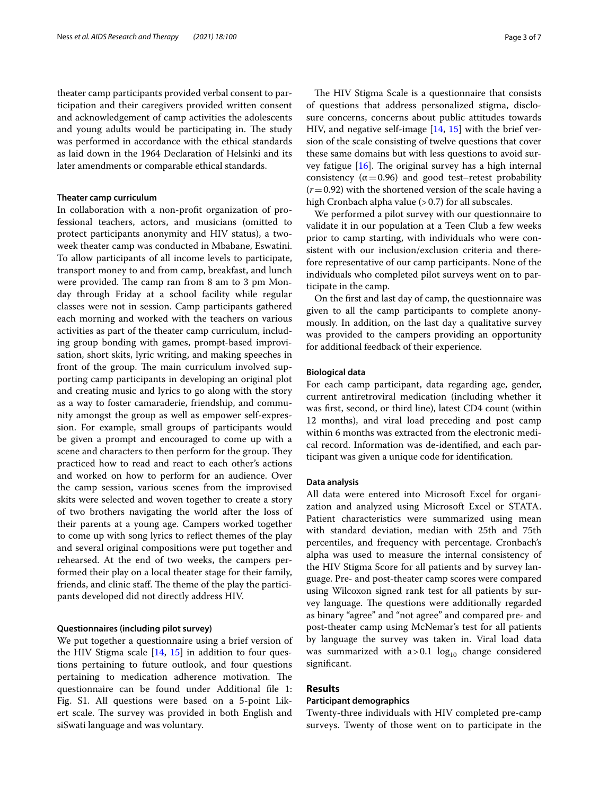theater camp participants provided verbal consent to participation and their caregivers provided written consent and acknowledgement of camp activities the adolescents and young adults would be participating in. The study was performed in accordance with the ethical standards as laid down in the 1964 Declaration of Helsinki and its later amendments or comparable ethical standards.

#### **Theater camp curriculum**

In collaboration with a non-proft organization of professional teachers, actors, and musicians (omitted to protect participants anonymity and HIV status), a twoweek theater camp was conducted in Mbabane, Eswatini. To allow participants of all income levels to participate, transport money to and from camp, breakfast, and lunch were provided. The camp ran from 8 am to 3 pm Monday through Friday at a school facility while regular classes were not in session. Camp participants gathered each morning and worked with the teachers on various activities as part of the theater camp curriculum, including group bonding with games, prompt-based improvisation, short skits, lyric writing, and making speeches in front of the group. The main curriculum involved supporting camp participants in developing an original plot and creating music and lyrics to go along with the story as a way to foster camaraderie, friendship, and community amongst the group as well as empower self-expression. For example, small groups of participants would be given a prompt and encouraged to come up with a scene and characters to then perform for the group. They practiced how to read and react to each other's actions and worked on how to perform for an audience. Over the camp session, various scenes from the improvised skits were selected and woven together to create a story of two brothers navigating the world after the loss of their parents at a young age. Campers worked together to come up with song lyrics to refect themes of the play and several original compositions were put together and rehearsed. At the end of two weeks, the campers performed their play on a local theater stage for their family, friends, and clinic staff. The theme of the play the participants developed did not directly address HIV.

#### **Questionnaires (including pilot survey)**

We put together a questionnaire using a brief version of the HIV Stigma scale [\[14](#page-6-13), [15](#page-6-14)] in addition to four questions pertaining to future outlook, and four questions pertaining to medication adherence motivation. The questionnaire can be found under Additional fle 1: Fig. S1. All questions were based on a 5-point Likert scale. The survey was provided in both English and siSwati language and was voluntary.

The HIV Stigma Scale is a questionnaire that consists of questions that address personalized stigma, disclosure concerns, concerns about public attitudes towards HIV, and negative self-image [[14,](#page-6-13) [15](#page-6-14)] with the brief version of the scale consisting of twelve questions that cover these same domains but with less questions to avoid survey fatigue  $[16]$  $[16]$  $[16]$ . The original survey has a high internal consistency ( $\alpha$  = 0.96) and good test–retest probability (*r*=0.92) with the shortened version of the scale having a high Cronbach alpha value (> 0.7) for all subscales.

We performed a pilot survey with our questionnaire to validate it in our population at a Teen Club a few weeks prior to camp starting, with individuals who were consistent with our inclusion/exclusion criteria and therefore representative of our camp participants. None of the individuals who completed pilot surveys went on to participate in the camp.

On the frst and last day of camp, the questionnaire was given to all the camp participants to complete anonymously. In addition, on the last day a qualitative survey was provided to the campers providing an opportunity for additional feedback of their experience.

## **Biological data**

For each camp participant, data regarding age, gender, current antiretroviral medication (including whether it was frst, second, or third line), latest CD4 count (within 12 months), and viral load preceding and post camp within 6 months was extracted from the electronic medical record. Information was de-identifed, and each participant was given a unique code for identifcation.

#### **Data analysis**

All data were entered into Microsoft Excel for organization and analyzed using Microsoft Excel or STATA. Patient characteristics were summarized using mean with standard deviation, median with 25th and 75th percentiles, and frequency with percentage. Cronbach's alpha was used to measure the internal consistency of the HIV Stigma Score for all patients and by survey language. Pre- and post-theater camp scores were compared using Wilcoxon signed rank test for all patients by survey language. The questions were additionally regarded as binary "agree" and "not agree" and compared pre- and post-theater camp using McNemar's test for all patients by language the survey was taken in. Viral load data was summarized with  $a > 0.1$  log<sub>10</sub> change considered signifcant.

# **Results**

### **Participant demographics**

Twenty-three individuals with HIV completed pre-camp surveys. Twenty of those went on to participate in the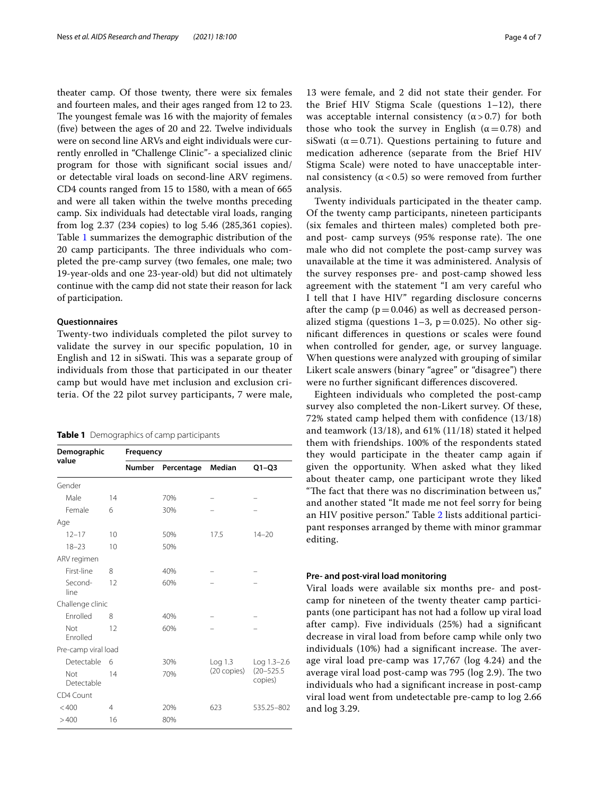theater camp. Of those twenty, there were six females and fourteen males, and their ages ranged from 12 to 23. The youngest female was 16 with the majority of females (fve) between the ages of 20 and 22. Twelve individuals were on second line ARVs and eight individuals were currently enrolled in "Challenge Clinic"- a specialized clinic program for those with signifcant social issues and/ or detectable viral loads on second-line ARV regimens. CD4 counts ranged from 15 to 1580, with a mean of 665 and were all taken within the twelve months preceding camp. Six individuals had detectable viral loads, ranging from log 2.37 (234 copies) to log 5.46 (285,361 copies). Table [1](#page-3-0) summarizes the demographic distribution of the 20 camp participants. The three individuals who completed the pre-camp survey (two females, one male; two 19-year-olds and one 23-year-old) but did not ultimately continue with the camp did not state their reason for lack of participation.

### **Questionnaires**

Twenty-two individuals completed the pilot survey to validate the survey in our specifc population, 10 in English and 12 in siSwati. This was a separate group of individuals from those that participated in our theater camp but would have met inclusion and exclusion criteria. Of the 22 pilot survey participants, 7 were male,

## <span id="page-3-0"></span>**Table 1** Demographics of camp participants

| Demographic<br>value   |                | Frequency |            |                                          |             |  |  |
|------------------------|----------------|-----------|------------|------------------------------------------|-------------|--|--|
|                        |                | Number    | Percentage | Median                                   | $Q1-Q3$     |  |  |
| Gender                 |                |           |            |                                          |             |  |  |
| Male                   | 14             |           | 70%        |                                          |             |  |  |
| Female                 | 6              |           | 30%        |                                          |             |  |  |
| Age                    |                |           |            |                                          |             |  |  |
| $12 - 17$              | 10             |           | 50%        | 17.5                                     | $14 - 20$   |  |  |
| $18 - 23$              | 10             |           | 50%        |                                          |             |  |  |
| ARV regimen            |                |           |            |                                          |             |  |  |
| First-line             | 8              |           | 40%        |                                          |             |  |  |
| Second-<br>line        | 12             |           | 60%        |                                          |             |  |  |
| Challenge clinic       |                |           |            |                                          |             |  |  |
| Enrolled               | 8              |           | 40%        |                                          |             |  |  |
| Not<br><b>Fnrolled</b> | 12             |           | 60%        |                                          |             |  |  |
| Pre-camp viral load    |                |           |            |                                          |             |  |  |
| Detectable             | 6              |           | 30%        | Log 1.3                                  | Log 1.3-2.6 |  |  |
| Not<br>Detectable      | 14             |           | 70%        | $(20 - 525.5)$<br>(20 copies)<br>copies) |             |  |  |
| CD4 Count              |                |           |            |                                          |             |  |  |
| < 400                  | $\overline{4}$ |           | 20%        | 623                                      | 535.25-802  |  |  |
| >400<br>16             |                |           | 80%        |                                          |             |  |  |

13 were female, and 2 did not state their gender. For the Brief HIV Stigma Scale (questions 1–12), there was acceptable internal consistency  $(\alpha > 0.7)$  for both those who took the survey in English ( $\alpha$  = 0.78) and siSwati ( $\alpha$  = 0.71). Questions pertaining to future and medication adherence (separate from the Brief HIV Stigma Scale) were noted to have unacceptable internal consistency ( $α < 0.5$ ) so were removed from further analysis.

Twenty individuals participated in the theater camp. Of the twenty camp participants, nineteen participants (six females and thirteen males) completed both preand post- camp surveys (95% response rate). The one male who did not complete the post-camp survey was unavailable at the time it was administered. Analysis of the survey responses pre- and post-camp showed less agreement with the statement "I am very careful who I tell that I have HIV" regarding disclosure concerns after the camp ( $p=0.046$ ) as well as decreased personalized stigma (questions  $1-3$ ,  $p=0.025$ ). No other signifcant diferences in questions or scales were found when controlled for gender, age, or survey language. When questions were analyzed with grouping of similar Likert scale answers (binary "agree" or "disagree") there were no further signifcant diferences discovered.

Eighteen individuals who completed the post-camp survey also completed the non-Likert survey. Of these, 72% stated camp helped them with confdence (13/18) and teamwork (13/18), and 61% (11/18) stated it helped them with friendships. 100% of the respondents stated they would participate in the theater camp again if given the opportunity. When asked what they liked about theater camp, one participant wrote they liked "The fact that there was no discrimination between  $us''$ ," and another stated "It made me not feel sorry for being an HIV positive person." Table [2](#page-4-0) lists additional participant responses arranged by theme with minor grammar editing.

# **Pre‑ and post‑viral load monitoring**

Viral loads were available six months pre- and postcamp for nineteen of the twenty theater camp participants (one participant has not had a follow up viral load after camp). Five individuals (25%) had a signifcant decrease in viral load from before camp while only two individuals (10%) had a significant increase. The average viral load pre-camp was 17,767 (log 4.24) and the average viral load post-camp was 795 (log 2.9). The two individuals who had a signifcant increase in post-camp viral load went from undetectable pre-camp to log 2.66 and log 3.29.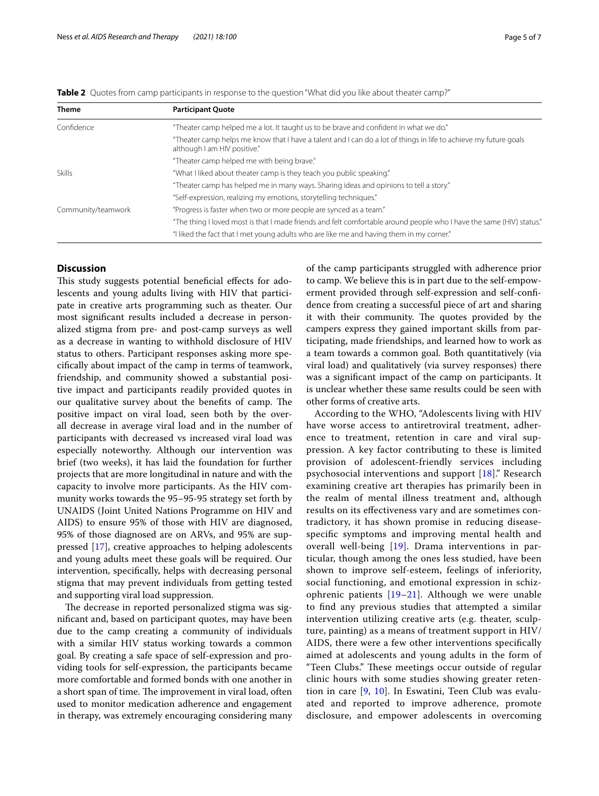| <b>Theme</b>       | <b>Participant Quote</b>                                                                                                                         |  |  |  |  |
|--------------------|--------------------------------------------------------------------------------------------------------------------------------------------------|--|--|--|--|
| Confidence         | "Theater camp helped me a lot. It taught us to be brave and confident in what we do."                                                            |  |  |  |  |
|                    | "Theater camp helps me know that I have a talent and I can do a lot of things in life to achieve my future goals<br>although I am HIV positive." |  |  |  |  |
|                    | "Theater camp helped me with being brave."                                                                                                       |  |  |  |  |
| <b>Skills</b>      | "What I liked about theater camp is they teach you public speaking."                                                                             |  |  |  |  |
|                    | "Theater camp has helped me in many ways. Sharing ideas and opinions to tell a story."                                                           |  |  |  |  |
|                    | "Self-expression, realizing my emotions, storytelling techniques."                                                                               |  |  |  |  |
| Community/teamwork | "Progress is faster when two or more people are synced as a team."                                                                               |  |  |  |  |
|                    | "The thing I loved most is that I made friends and felt comfortable around people who I have the same (HIV) status."                             |  |  |  |  |
|                    | "I liked the fact that I met young adults who are like me and having them in my corner."                                                         |  |  |  |  |

<span id="page-4-0"></span>

|  |  |  |  | <b>Table 2</b> Quotes from camp participants in response to the question "What did you like about theater camp?" |  |  |
|--|--|--|--|------------------------------------------------------------------------------------------------------------------|--|--|
|--|--|--|--|------------------------------------------------------------------------------------------------------------------|--|--|

# **Discussion**

This study suggests potential beneficial effects for adolescents and young adults living with HIV that participate in creative arts programming such as theater. Our most signifcant results included a decrease in personalized stigma from pre- and post-camp surveys as well as a decrease in wanting to withhold disclosure of HIV status to others. Participant responses asking more specifcally about impact of the camp in terms of teamwork, friendship, and community showed a substantial positive impact and participants readily provided quotes in our qualitative survey about the benefits of camp. The positive impact on viral load, seen both by the overall decrease in average viral load and in the number of participants with decreased vs increased viral load was especially noteworthy. Although our intervention was brief (two weeks), it has laid the foundation for further projects that are more longitudinal in nature and with the capacity to involve more participants. As the HIV community works towards the 95–95-95 strategy set forth by UNAIDS (Joint United Nations Programme on HIV and AIDS) to ensure 95% of those with HIV are diagnosed, 95% of those diagnosed are on ARVs, and 95% are suppressed [\[17](#page-6-16)], creative approaches to helping adolescents and young adults meet these goals will be required. Our intervention, specifcally, helps with decreasing personal stigma that may prevent individuals from getting tested and supporting viral load suppression.

The decrease in reported personalized stigma was signifcant and, based on participant quotes, may have been due to the camp creating a community of individuals with a similar HIV status working towards a common goal. By creating a safe space of self-expression and providing tools for self-expression, the participants became more comfortable and formed bonds with one another in a short span of time. The improvement in viral load, often used to monitor medication adherence and engagement in therapy, was extremely encouraging considering many of the camp participants struggled with adherence prior to camp. We believe this is in part due to the self-empowerment provided through self-expression and self-confdence from creating a successful piece of art and sharing it with their community. The quotes provided by the campers express they gained important skills from participating, made friendships, and learned how to work as a team towards a common goal. Both quantitatively (via viral load) and qualitatively (via survey responses) there was a signifcant impact of the camp on participants. It is unclear whether these same results could be seen with other forms of creative arts.

According to the WHO, "Adolescents living with HIV have worse access to antiretroviral treatment, adherence to treatment, retention in care and viral suppression. A key factor contributing to these is limited provision of adolescent-friendly services including psychosocial interventions and support [\[18](#page-6-17)]." Research examining creative art therapies has primarily been in the realm of mental illness treatment and, although results on its efectiveness vary and are sometimes contradictory, it has shown promise in reducing diseasespecifc symptoms and improving mental health and overall well-being [[19](#page-6-18)]. Drama interventions in particular, though among the ones less studied, have been shown to improve self-esteem, feelings of inferiority, social functioning, and emotional expression in schizophrenic patients [[19–](#page-6-18)[21\]](#page-6-19). Although we were unable to fnd any previous studies that attempted a similar intervention utilizing creative arts (e.g. theater, sculpture, painting) as a means of treatment support in HIV/ AIDS, there were a few other interventions specifcally aimed at adolescents and young adults in the form of "Teen Clubs." These meetings occur outside of regular clinic hours with some studies showing greater retention in care [\[9](#page-6-8), [10](#page-6-9)]. In Eswatini, Teen Club was evaluated and reported to improve adherence, promote disclosure, and empower adolescents in overcoming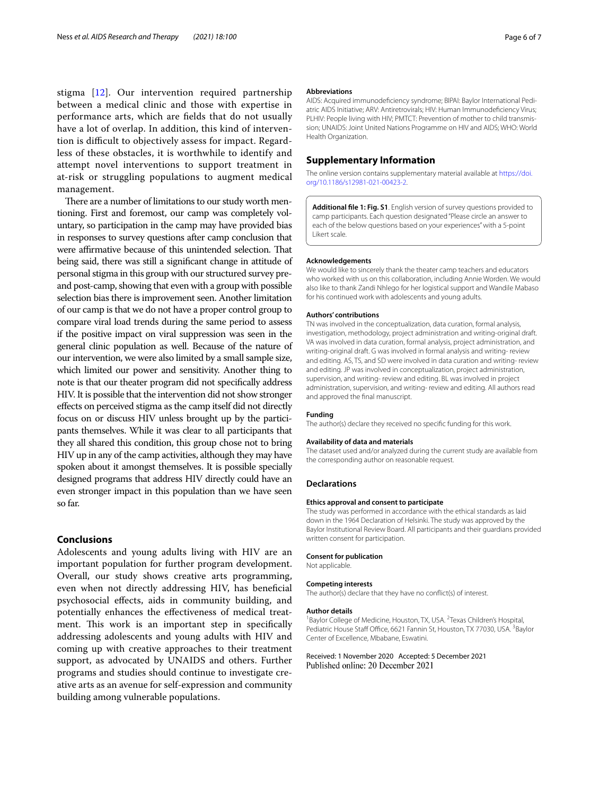stigma [\[12\]](#page-6-11). Our intervention required partnership between a medical clinic and those with expertise in performance arts, which are felds that do not usually have a lot of overlap. In addition, this kind of intervention is difficult to objectively assess for impact. Regardless of these obstacles, it is worthwhile to identify and attempt novel interventions to support treatment in at-risk or struggling populations to augment medical management.

There are a number of limitations to our study worth mentioning. First and foremost, our camp was completely voluntary, so participation in the camp may have provided bias in responses to survey questions after camp conclusion that were affirmative because of this unintended selection. That being said, there was still a signifcant change in attitude of personal stigma in this group with our structured survey preand post-camp, showing that even with a group with possible selection bias there is improvement seen. Another limitation of our camp is that we do not have a proper control group to compare viral load trends during the same period to assess if the positive impact on viral suppression was seen in the general clinic population as well. Because of the nature of our intervention, we were also limited by a small sample size, which limited our power and sensitivity. Another thing to note is that our theater program did not specifcally address HIV. It is possible that the intervention did not show stronger efects on perceived stigma as the camp itself did not directly focus on or discuss HIV unless brought up by the participants themselves. While it was clear to all participants that they all shared this condition, this group chose not to bring HIV up in any of the camp activities, although they may have spoken about it amongst themselves. It is possible specially designed programs that address HIV directly could have an even stronger impact in this population than we have seen so far.

# **Conclusions**

Adolescents and young adults living with HIV are an important population for further program development. Overall, our study shows creative arts programming, even when not directly addressing HIV, has benefcial psychosocial efects, aids in community building, and potentially enhances the efectiveness of medical treatment. This work is an important step in specifically addressing adolescents and young adults with HIV and coming up with creative approaches to their treatment support, as advocated by UNAIDS and others. Further programs and studies should continue to investigate creative arts as an avenue for self-expression and community building among vulnerable populations.

#### **Abbreviations**

AIDS: Acquired immunodefciency syndrome; BIPAI: Baylor International Pediatric AIDS Initiative; ARV: Antiretrovirals; HIV: Human Immunodefciency Virus; PLHIV: People living with HIV; PMTCT: Prevention of mother to child transmission; UNAIDS: Joint United Nations Programme on HIV and AIDS; WHO: World Health Organization.

## **Supplementary Information**

The online version contains supplementary material available at [https://doi.](https://doi.org/10.1186/s12981-021-00423-2) [org/10.1186/s12981-021-00423-2](https://doi.org/10.1186/s12981-021-00423-2).

**Additional fle 1: Fig. S1**. English version of survey questions provided to camp participants. Each question designated "Please circle an answer to each of the below questions based on your experiences" with a 5-point Likert scale.

#### **Acknowledgements**

We would like to sincerely thank the theater camp teachers and educators who worked with us on this collaboration, including Annie Worden. We would also like to thank Zandi Nhlego for her logistical support and Wandile Mabaso for his continued work with adolescents and young adults.

#### **Authors' contributions**

TN was involved in the conceptualization, data curation, formal analysis, investigation, methodology, project administration and writing-original draft. VA was involved in data curation, formal analysis, project administration, and writing-original draft. G was involved in formal analysis and writing- review and editing. AS, TS, and SD were involved in data curation and writing- review and editing. JP was involved in conceptualization, project administration, supervision, and writing- review and editing. BL was involved in project administration, supervision, and writing- review and editing. All authors read and approved the fnal manuscript.

#### **Funding**

The author(s) declare they received no specifc funding for this work.

#### **Availability of data and materials**

The dataset used and/or analyzed during the current study are available from the corresponding author on reasonable request.

## **Declarations**

# **Ethics approval and consent to participate**

The study was performed in accordance with the ethical standards as laid down in the 1964 Declaration of Helsinki. The study was approved by the Baylor Institutional Review Board. All participants and their guardians provided written consent for participation.

#### **Consent for publication**

Not applicable.

#### **Competing interests**

The author(s) declare that they have no confict(s) of interest.

#### **Author details**

<sup>1</sup> Baylor College of Medicine, Houston, TX, USA. <sup>2</sup> Texas Children's Hospital, Pediatric House Staff Office, 6621 Fannin St, Houston, TX 77030, USA. <sup>3</sup>Baylor Center of Excellence, Mbabane, Eswatini.

# Received: 1 November 2020 Accepted: 5 December 2021Published online: 20 December 2021